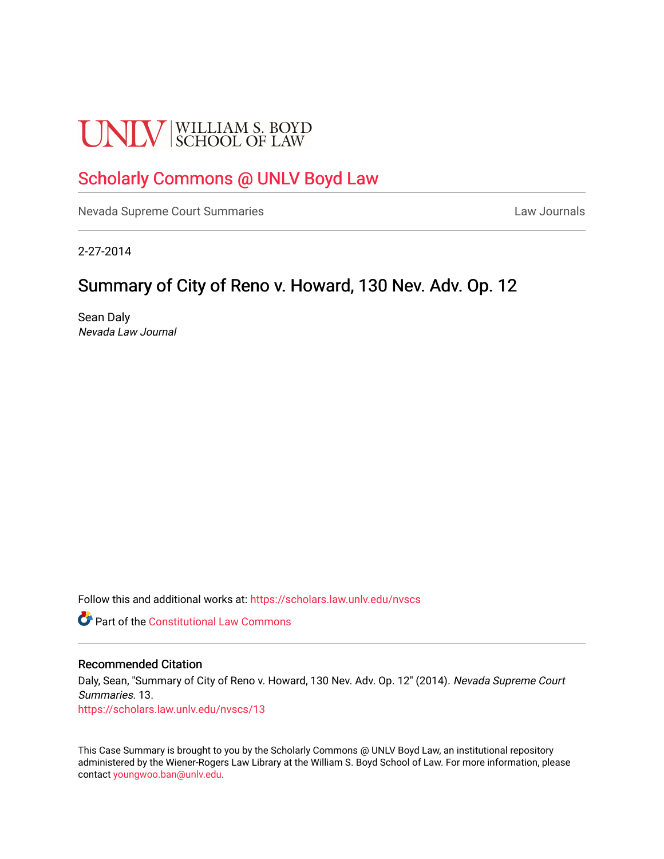# **UNLV** SCHOOL OF LAW

## [Scholarly Commons @ UNLV Boyd Law](https://scholars.law.unlv.edu/)

[Nevada Supreme Court Summaries](https://scholars.law.unlv.edu/nvscs) **Law Journals** Law Journals

2-27-2014

## Summary of City of Reno v. Howard, 130 Nev. Adv. Op. 12

Sean Daly Nevada Law Journal

Follow this and additional works at: [https://scholars.law.unlv.edu/nvscs](https://scholars.law.unlv.edu/nvscs?utm_source=scholars.law.unlv.edu%2Fnvscs%2F13&utm_medium=PDF&utm_campaign=PDFCoverPages)

**Part of the Constitutional Law Commons** 

#### Recommended Citation

Daly, Sean, "Summary of City of Reno v. Howard, 130 Nev. Adv. Op. 12" (2014). Nevada Supreme Court Summaries. 13.

[https://scholars.law.unlv.edu/nvscs/13](https://scholars.law.unlv.edu/nvscs/13?utm_source=scholars.law.unlv.edu%2Fnvscs%2F13&utm_medium=PDF&utm_campaign=PDFCoverPages) 

This Case Summary is brought to you by the Scholarly Commons @ UNLV Boyd Law, an institutional repository administered by the Wiener-Rogers Law Library at the William S. Boyd School of Law. For more information, please contact [youngwoo.ban@unlv.edu](mailto:youngwoo.ban@unlv.edu).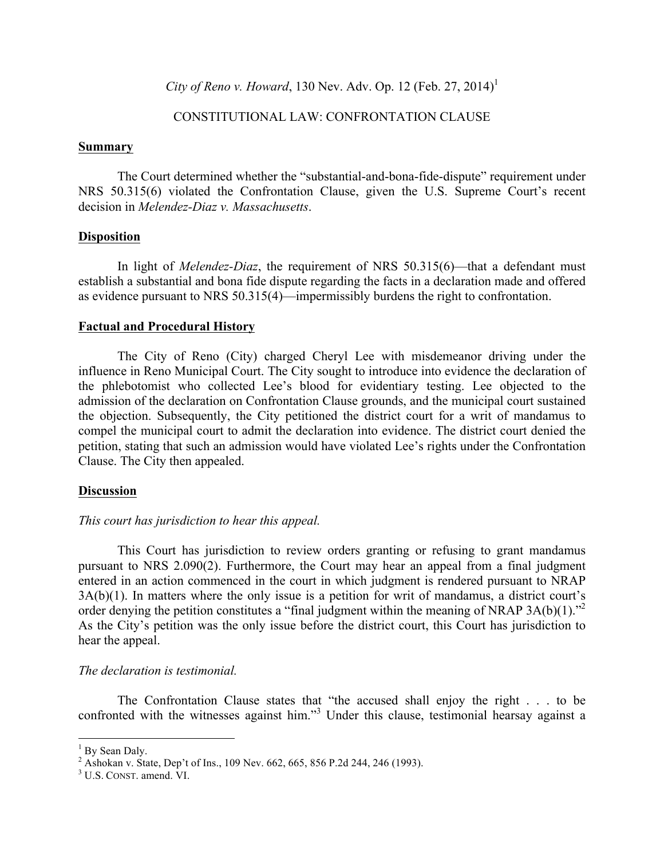*City of Reno v. Howard*, 130 Nev. Adv. Op. 12 (Feb. 27, 2014) 1

### CONSTITUTIONAL LAW: CONFRONTATION CLAUSE

#### **Summary**

The Court determined whether the "substantial-and-bona-fide-dispute" requirement under NRS 50.315(6) violated the Confrontation Clause, given the U.S. Supreme Court's recent decision in *Melendez-Diaz v. Massachusetts*.

#### **Disposition**

In light of *Melendez-Diaz*, the requirement of NRS 50.315(6)—that a defendant must establish a substantial and bona fide dispute regarding the facts in a declaration made and offered as evidence pursuant to NRS 50.315(4)—impermissibly burdens the right to confrontation.

#### **Factual and Procedural History**

The City of Reno (City) charged Cheryl Lee with misdemeanor driving under the influence in Reno Municipal Court. The City sought to introduce into evidence the declaration of the phlebotomist who collected Lee's blood for evidentiary testing. Lee objected to the admission of the declaration on Confrontation Clause grounds, and the municipal court sustained the objection. Subsequently, the City petitioned the district court for a writ of mandamus to compel the municipal court to admit the declaration into evidence. The district court denied the petition, stating that such an admission would have violated Lee's rights under the Confrontation Clause. The City then appealed.

#### **Discussion**

#### *This court has jurisdiction to hear this appeal.*

This Court has jurisdiction to review orders granting or refusing to grant mandamus pursuant to NRS 2.090(2). Furthermore, the Court may hear an appeal from a final judgment entered in an action commenced in the court in which judgment is rendered pursuant to NRAP 3A(b)(1). In matters where the only issue is a petition for writ of mandamus, a district court's order denying the petition constitutes a "final judgment within the meaning of NRAP 3A(b)(1)."<sup>2</sup> As the City's petition was the only issue before the district court, this Court has jurisdiction to hear the appeal.

#### *The declaration is testimonial.*

The Confrontation Clause states that "the accused shall enjoy the right . . . to be confronted with the witnesses against him."<sup>3</sup> Under this clause, testimonial hearsay against a

 $1$  By Sean Daly.

<sup>&</sup>lt;sup>2</sup> Ashokan v. State, Dep't of Ins., 109 Nev. 662, 665, 856 P.2d 244, 246 (1993).

<sup>&</sup>lt;sup>3</sup> U.S. CONST. amend. VI.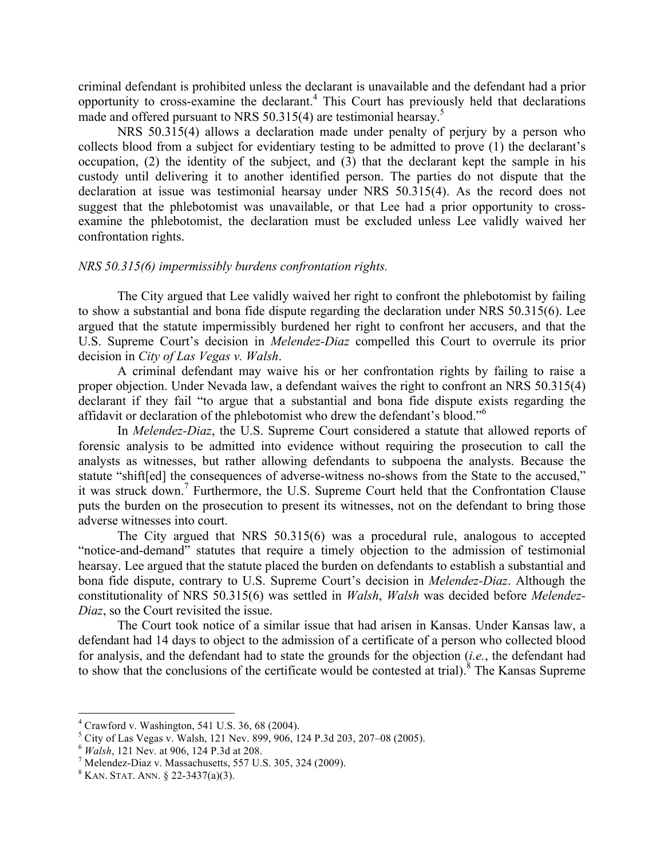criminal defendant is prohibited unless the declarant is unavailable and the defendant had a prior opportunity to cross-examine the declarant.4 This Court has previously held that declarations made and offered pursuant to NRS 50.315(4) are testimonial hearsay.<sup>5</sup>

NRS 50.315(4) allows a declaration made under penalty of perjury by a person who collects blood from a subject for evidentiary testing to be admitted to prove (1) the declarant's occupation, (2) the identity of the subject, and (3) that the declarant kept the sample in his custody until delivering it to another identified person. The parties do not dispute that the declaration at issue was testimonial hearsay under NRS 50.315(4). As the record does not suggest that the phlebotomist was unavailable, or that Lee had a prior opportunity to crossexamine the phlebotomist, the declaration must be excluded unless Lee validly waived her confrontation rights.

#### *NRS 50.315(6) impermissibly burdens confrontation rights.*

The City argued that Lee validly waived her right to confront the phlebotomist by failing to show a substantial and bona fide dispute regarding the declaration under NRS 50.315(6). Lee argued that the statute impermissibly burdened her right to confront her accusers, and that the U.S. Supreme Court's decision in *Melendez-Diaz* compelled this Court to overrule its prior decision in *City of Las Vegas v. Walsh*.

A criminal defendant may waive his or her confrontation rights by failing to raise a proper objection. Under Nevada law, a defendant waives the right to confront an NRS 50.315(4) declarant if they fail "to argue that a substantial and bona fide dispute exists regarding the affidavit or declaration of the phlebotomist who drew the defendant's blood."<sup>6</sup>

In *Melendez-Diaz*, the U.S. Supreme Court considered a statute that allowed reports of forensic analysis to be admitted into evidence without requiring the prosecution to call the analysts as witnesses, but rather allowing defendants to subpoena the analysts. Because the statute "shift[ed] the consequences of adverse-witness no-shows from the State to the accused," it was struck down.<sup>7</sup> Furthermore, the U.S. Supreme Court held that the Confrontation Clause puts the burden on the prosecution to present its witnesses, not on the defendant to bring those adverse witnesses into court.

The City argued that NRS 50.315(6) was a procedural rule, analogous to accepted "notice-and-demand" statutes that require a timely objection to the admission of testimonial hearsay. Lee argued that the statute placed the burden on defendants to establish a substantial and bona fide dispute, contrary to U.S. Supreme Court's decision in *Melendez-Diaz*. Although the constitutionality of NRS 50.315(6) was settled in *Walsh*, *Walsh* was decided before *Melendez-Diaz*, so the Court revisited the issue.

The Court took notice of a similar issue that had arisen in Kansas. Under Kansas law, a defendant had 14 days to object to the admission of a certificate of a person who collected blood for analysis, and the defendant had to state the grounds for the objection (*i.e.*, the defendant had to show that the conclusions of the certificate would be contested at trial).<sup>8</sup> The Kansas Supreme

 <sup>4</sup> Crawford v. Washington, 541 U.S. 36, 68 (2004).

<sup>&</sup>lt;sup>5</sup> City of Las Vegas v. Walsh, 121 Nev. 899, 906, 124 P.3d 203, 207–08 (2005).<br>
<sup>6</sup> *Walsh*, 121 Nev. at 906, 124 P.3d at 208. <sup>7</sup> Melendez-Diaz v. Massachusetts, 557 U.S. 305, 324 (2009). <sup>8</sup> KAN. STAT. ANN. § 22-3437(a)